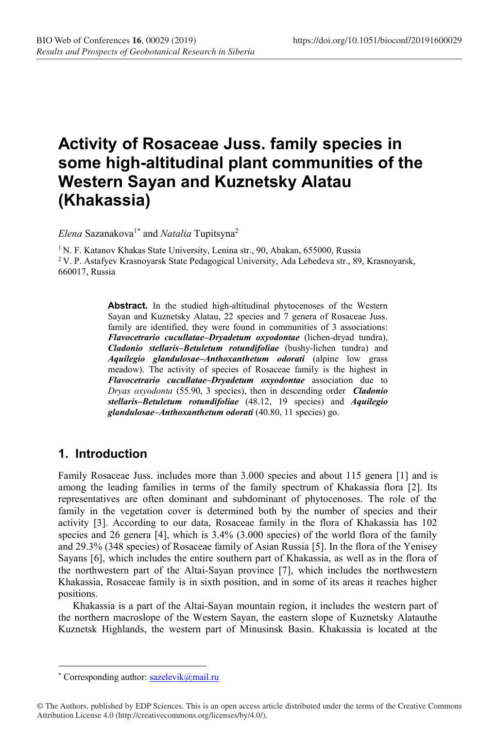# **Activity of Rosaceae Juss. family species in some high-altitudinal plant communities of the Western Sayan and Kuznetsky Alatau (Khakassia)**

*Elena* Sazanakova<sup>1\*</sup> and *Natalia* Tupitsyna<sup>2</sup>

<sup>1</sup> N. F. Katanov Khakas State University, Lenina str., 90, Abakan, 655000, Russia  $2$  V. P. Astafyev Krasnoyarsk, State Pedagogical University, Ada Lebedeva str., 89, Krasnoyarsk, 660017, Russia

> **Abstract.** In the studied high-altitudinal phytocenoses of the Western Sayan and Kuznetsky Alatau, 22 species and 7 genera of Rosaceae Juss. family are identified, they were found in communities of 3 associations: *Flavocetrario cucullatae–Dryadetum oxyodontae* (lichen-dryad tundra), *Cladonio stellaris–Betuletum rotundifoliae* (bushy-lichen tundra) and *Aquilegio glandulosae–Anthoxanthetum odorati* (alpine low grass meadow). The activity of species of Rosaceae family is the highest in *Flavocetrario cucullatae–Dryadetum oxyodontae* association due to *Dryas oxyodonta* (55.90, 3 species), then in descending order *Cladonio stellaris–Betuletum rotundifoliae* (48.12, 19 species) and *Aquilegio glandulosae–Anthoxanthetum odorati* (40.80, 11 species) go.

## **1. Introduction**

Family Rosaceae Juss. includes more than 3.000 species and about 115 genera [1] and is among the leading families in terms of the family spectrum of Khakassia flora [2]. Its representatives are often dominant and subdominant of phytocenoses. The role of the family in the vegetation cover is determined both by the number of species and their activity [3]. According to our data, Rosaceae family in the flora of Khakassia has 102 species and 26 genera [4], which is 3.4% (3.000 species) of the world flora of the family and 29.3% (348 species) of Rosaceae family of Asian Russia [5]. In the flora of the Yenisey Sayans [6], which includes the entire southern part of Khakassia, as well as in the flora of the northwestern part of the Altai-Sayan province [7], which includes the northwestern Khakassia, Rosaceae family is in sixth position, and in some of its areas it reaches higher positions.

Khakassia is a part of the Altai-Sayan mountain region, it includes the western part of the northern macroslope of the Western Sayan, the eastern slope of Kuznetsky Alatauthe Kuznetsk Highlands, the western part of Minusinsk Basin. Khakassia is located at the

 <sup>\*</sup> Corresponding author: sazelevik@mail.ru

<sup>©</sup> The Authors, published by EDP Sciences. This is an open access article distributed under the terms of the Creative Commons Attribution License 4.0 (http://creativecommons.org/licenses/by/4.0/).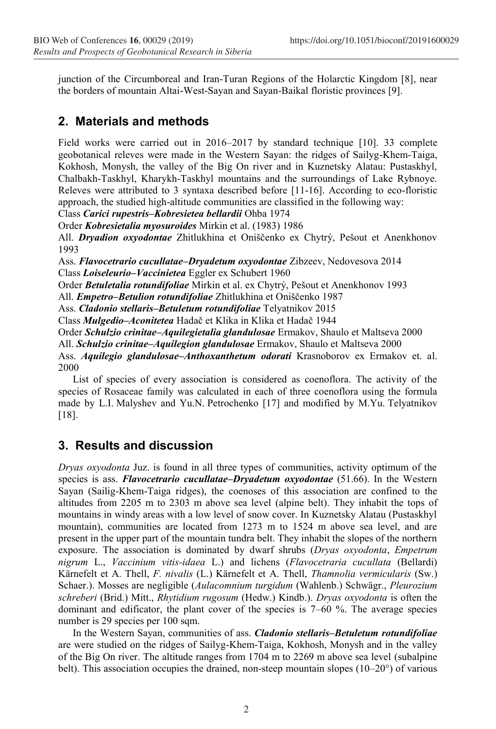junction of the Circumboreal and Iran-Turan Regions of the Holarctic Kingdom [8], near the borders of mountain Altai-West-Sayan and Sayan-Baikal floristic provinces [9].

# **2. Materials and methods**

Field works were carried out in 2016–2017 by standard technique [10]. 33 complete geobotanical releves were made in the Western Sayan: the ridges of Sailyg-Khem-Taiga, Kokhosh, Monysh, the valley of the Big On river and in Kuznetsky Alatau: Pustaskhyl, Chalbakh-Taskhyl, Kharykh-Taskhyl mountains and the surroundings of Lake Rybnoye. Releves were attributed to 3 syntaxa described before [11-16]. According to eco-floristic approach, the studied high-altitude communities are classified in the following way:

Class *Carici rupestris–Kobresietea bellardii* Ohba 1974

Order *Kobresietalia myosuroides* Mirkin et al. (1983) 1986

All. *Dryadion oxyodontae* Zhitlukhina et Oniščenko ex Chytrý, Pešout et Anenkhonov 1993

Ass. *Flavocetrario cucullatae–Dryadetum oxyodontae* Zibzeev, Nedovesova 2014 Class *Loiseleurio***–***Vaccinietea* Eggler ex Schubert 1960

Order *Betuletalia rotundifoliae* Mirkin et al. ex Chytrý, Pešout et Anenkhonov 1993

All. *Empetro–Betulion rotundifoliae* Zhitlukhina et Oniščenko 1987

Ass. *Cladonio stellaris–Betuletum rotundifoliae* Telyatnikov 2015

Class *Mulgedio–Aconitetea* Hadač et Klika in Klika et Hadač 1944

Order *Schulzio crinitae–Aquilegietalia glandulosae* Ermakov, Shaulo et Maltseva 2000

All. *Schulzio crinitae–Aquilegion glandulosae* Ermakov, Shaulo et Maltseva 2000

Ass. *Aquilegio glandulosae–Anthoxanthetum odorati* Krasnoborov ex Ermakov et. al. 2000

List of species of every association is considered as coenoflora. The activity of the species of Rosaceae family was calculated in each of three coenoflora using the formula made by L.I. Malyshev and Yu.N. Petrochenko [17] and modified by M.Yu. Telyatnikov [18].

## **3. Results and discussion**

*Dryas oxyodonta* Juz. is found in all three types of communities, activity optimum of the species is ass. *Flavocetrario cucullatae–Dryadetum oxyodontae* (51.66). In the Western Sayan (Sailig-Khem-Taiga ridges), the coenoses of this association are confined to the altitudes from 2205 m to 2303 m above sea level (alpine belt). They inhabit the tops of mountains in windy areas with a low level of snow cover. In Kuznetsky Alatau (Pustaskhyl mountain), communities are located from 1273 m to 1524 m above sea level, and are present in the upper part of the mountain tundra belt. They inhabit the slopes of the northern exposure. The association is dominated by dwarf shrubs (*Dryas oxyodonta*, *Empetrum nigrum* L., *Vaccinium vitis-idaea* L.) and lichens (*Flavocetraria cucullata* (Bellardi) Kärnefelt et A. Thell, *F. nivalis* (L.) Kärnefelt et A. Thell, *Thamnolia vermicularis* (Sw.) Schaer.). Mosses are negligible (*Aulacomnium turgidum* (Wahlenb.) Schwägr., *Pleurozium schreberi* (Brid.) Mitt., *Rhytidium rugosum* (Hedw.) Kindb.). *Dryas oxyodonta* is often the dominant and edificator, the plant cover of the species is 7–60 %. The average species number is 29 species per 100 sqm.

In the Western Sayan, communities of ass. *Cladonio stellaris–Betuletum rotundifoliae* are were studied on the ridges of Sailyg-Khem-Taiga, Kokhosh, Monysh and in the valley of the Big On river. The altitude ranges from 1704 m to 2269 m above sea level (subalpine belt). This association occupies the drained, non-steep mountain slopes (10–20°) of various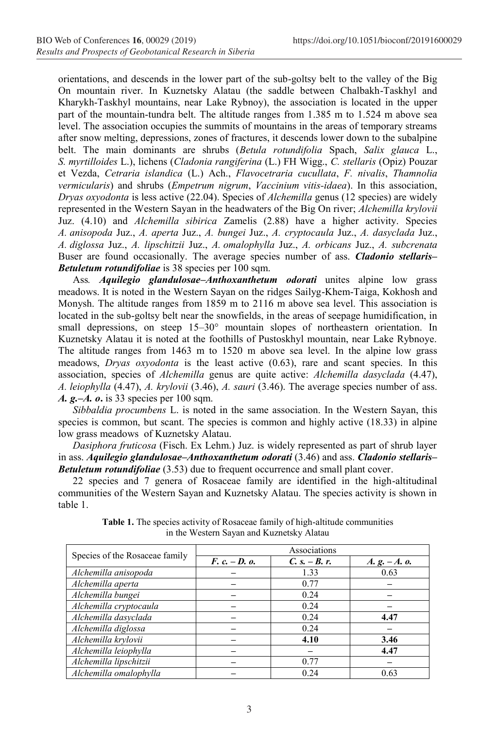orientations, and descends in the lower part of the sub-goltsy belt to the valley of the Big On mountain river. In Kuznetsky Alatau (the saddle between Chalbakh-Taskhyl and Kharykh-Taskhyl mountains, near Lake Rybnoy), the association is located in the upper part of the mountain-tundra belt. The altitude ranges from 1.385 m to 1.524 m above sea level. The association occupies the summits of mountains in the areas of temporary streams after snow melting, depressions, zones of fractures, it descends lower down to the subalpine belt. The main dominants are shrubs (*Betula rotundifolia* Spach, *Salix glauca* L., *S. myrtilloides* L.), lichens (*Cladonia rangiferina* (L.) FH Wigg., *C. stellaris* (Opiz) Pouzar et Vezda, *Cetraria islandica* (L.) Ach., *Flavocetraria cucullata*, *F. nivalis*, *Thamnolia vermicularis*) and shrubs (*Empetrum nigrum*, *Vaccinium vitis-idaea*). In this association, *Dryas oxyodonta* is less active (22.04). Species of *Alchemilla* genus (12 species) are widely represented in the Western Sayan in the headwaters of the Big On river; *Alchemilla krylovii*  Juz. (4.10) and *Alchemilla sibirica* Zamelis (2.88) have a higher activity. Species *A. anisopoda* Juz., *A. aperta* Juz., *A. bungei* Juz., *A. cryptocaula* Juz., *A. dasyclada* Juz., *A. diglossa* Juz., *A. lipschitzii* Juz., *A. omalophylla* Juz., *A. orbicans* Juz., *A. subcrenata*  Buser are found occasionally. The average species number of ass. *Cladonio stellaris– Betuletum rotundifoliae* is 38 species per 100 sqm.

Ass*. Aquilegio glandulosae–Anthoxanthetum odorati* unites alpine low grass meadows. It is noted in the Western Sayan on the ridges Sailyg-Khem-Taiga, Kokhosh and Monysh. The altitude ranges from 1859 m to 2116 m above sea level. This association is located in the sub-goltsy belt near the snowfields, in the areas of seepage humidification, in small depressions, on steep 15–30° mountain slopes of northeastern orientation. In Kuznetsky Alatau it is noted at the foothills of Pustoskhyl mountain, near Lake Rybnoye. The altitude ranges from 1463 m to 1520 m above sea level. In the alpine low grass meadows, *Dryas oxyodonta* is the least active (0.63), rare and scant species. In this association, species of *Alchemilla* genus are quite active: *Alchemilla dasyclada* (4.47), *A. leiophylla* (4.47), *A. krylovii* (3.46), *A. sauri* (3.46). The average species number of ass. *A. g.–A. o***.** is 33 species per 100 sqm.

*Sibbaldia procumbens* L. is noted in the same association. In the Western Sayan, this species is common, but scant. The species is common and highly active (18.33) in alpine low grass meadows of Kuznetsky Alatau.

*Dasiphora fruticosa* (Fisch. Ex Lehm.) Juz. is widely represented as part of shrub layer in ass. *Aquilegio glandulosae–Anthoxanthetum odorati* (3.46) and ass. *Cladonio stellaris– Betuletum rotundifoliae* (3.53) due to frequent occurrence and small plant cover.

22 species and 7 genera of Rosaceae family are identified in the high-altitudinal communities of the Western Sayan and Kuznetsky Alatau. The species activity is shown in table 1.

| Species of the Rosaceae family | Associations    |                 |                |
|--------------------------------|-----------------|-----------------|----------------|
|                                | $F. c. - D. o.$ | $C. s. - B. r.$ | $A. g. -A. o.$ |
| Alchemilla anisopoda           |                 | 1.33            | 0.63           |
| Alchemilla aperta              |                 | 0.77            |                |
| Alchemilla bungei              |                 | 0.24            |                |
| Alchemilla cryptocaula         |                 | 0.24            |                |
| Alchemilla dasyclada           |                 | 0.24            | 4.47           |
| Alchemilla diglossa            |                 | 0.24            |                |
| Alchemilla krylovii            |                 | 4.10            | 3.46           |
| Alchemilla leiophylla          |                 |                 | 4.47           |
| Alchemilla lipschitzii         |                 | 0.77            |                |
| Alchemilla omalophylla         |                 | 0.24            | 0.63           |

**Table 1.** The species activity of Rosaceae family of high-altitude communities in the Western Sayan and Kuznetsky Alatau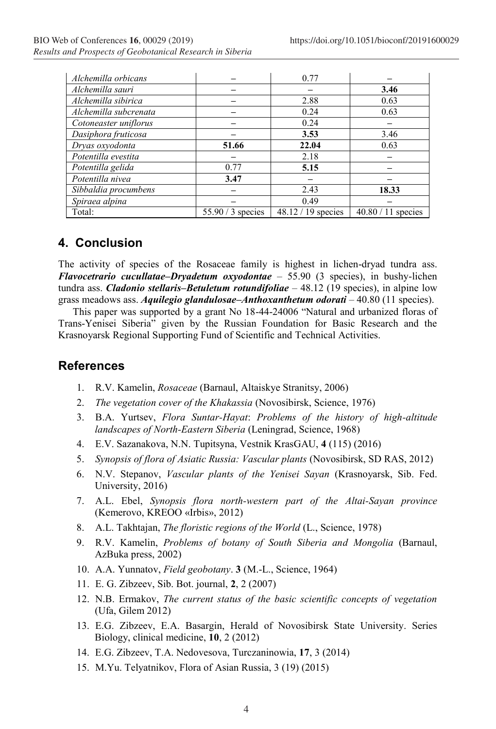| Alchemilla orbicans   |                   | 0.77                 |                      |
|-----------------------|-------------------|----------------------|----------------------|
| Alchemilla sauri      |                   |                      | 3.46                 |
| Alchemilla sibirica   |                   | 2.88                 | 0.63                 |
| Alchemilla subcrenata |                   | 0.24                 | 0.63                 |
| Cotoneaster uniflorus |                   | 0.24                 |                      |
| Dasiphora fruticosa   |                   | 3.53                 | 3.46                 |
| Dryas oxyodonta       | 51.66             | 22.04                | 0.63                 |
| Potentilla evestita   |                   | 2.18                 |                      |
| Potentilla gelida     | 0.77              | 5.15                 |                      |
| Potentilla nivea      | 3.47              |                      |                      |
| Sibbaldia procumbens  |                   | 2.43                 | 18.33                |
| Spiraea alpina        |                   | 0.49                 |                      |
| Total:                | $55.90/3$ species | $48.12 / 19$ species | $40.80 / 11$ species |

### **4. Conclusion**

The activity of species of the Rosaceae family is highest in lichen-dryad tundra ass. *Flavocetrario cucullatae–Dryadetum oxyodontae* – 55.90 (3 species), in bushy-lichen tundra ass. *Cladonio stellaris–Betuletum rotundifoliae* – 48.12 (19 species), in alpine low grass meadows ass. *Aquilegio glandulosae–Anthoxanthetum odorati* – 40.80 (11 species).

This paper was supported by a grant No 18-44-24006 "Natural and urbanized floras of Trans-Yenisei Siberia" given by the Russian Foundation for Basic Research and the Krasnoyarsk Regional Supporting Fund of Scientific and Technical Activities.

#### **References**

- 1. R.V. Kamelin, *Rosaceae* (Barnaul, Altaiskye Stranitsy, 2006)
- 2. *The vegetation cover of the Khakassia* (Novosibirsk, Science, 1976)
- 3. B.A. Yurtsev, *Flora Suntar-Hayat*: *Problems of the history of high-altitude landscapes of North-Eastern Siberia* (Leningrad, Science, 1968)
- 4. Е.V. Sazanakova, N.N. Tupitsyna, Vestnik KrasGAU, **4** (115) (2016)
- 5. *Synopsis of flora of Asiatic Russia: Vascular plants* (Novosibirsk, SD RAS, 2012)
- 6. N.V. Stepanov, *Vascular plants of the Yenisei Sayan* (Krasnoyarsk, Sib. Fed. University, 2016)
- 7. А.L. Ebel, *Synopsis flora north-western part of the Altai-Sayan province* (Kemerovo, KREOO «Irbis», 2012)
- 8. А.L. Takhtajan, *The floristic regions of the World* (L., Science, 1978)
- 9. R.V. Kamelin, *Problems of botany of South Siberia and Mongolia* (Barnaul, AzBuka press, 2002)
- 10. А.А. Yunnatov, *Field geobotany*. **3** (M.-L., Science, 1964)
- 11. Е. G. Zibzeev, Sib. Bot. journal, **2**, 2 (2007)
- 12. N.B. Ermakov, *The current status of the basic scientific concepts of vegetation* (Ufa, Gilem 2012)
- 13. Е.G. Zibzeev, Е.А. Basargin, Herald of Novosibirsk State University. Series Biology, clinical medicine, **10**, 2 (2012)
- 14. Е.G. Zibzeev, Т.А. Nedovesova, Turczaninowia, **17**, 3 (2014)
- 15. М.Yu. Telyatnikov, Flora of Asian Russia, 3 (19) (2015)